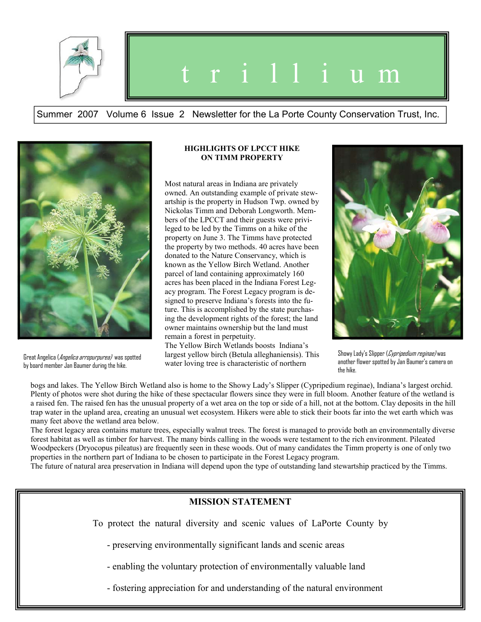

## t r i l l i u m

Summer 2007 Volume 6 Issue 2 Newsletter for the La Porte County Conservation Trust, Inc.



Great Angelica (Angelica arropurpurea) was spotted by board member Jan Baumer during the hike.

## **HIGHLIGHTS OF LPCCT HIKE ON TIMM PROPERTY**

Most natural areas in Indiana are privately owned. An outstanding example of private stewartship is the property in Hudson Twp. owned by Nickolas Timm and Deborah Longworth. Members of the LPCCT and their guests were privileged to be led by the Timms on a hike of the property on June 3. The Timms have protected the property by two methods. 40 acres have been donated to the Nature Conservancy, which is known as the Yellow Birch Wetland. Another parcel of land containing approximately 160 acres has been placed in the Indiana Forest Legacy program. The Forest Legacy program is designed to preserve Indiana's forests into the future. This is accomplished by the state purchasing the development rights of the forest; the land owner maintains ownership but the land must remain a forest in perpetuity.

The Yellow Birch Wetlands boosts Indiana's largest yellow birch (Betula alleghaniensis). This water loving tree is characteristic of northern



Showy Lady's Slipper (Cypripedium reginae) was another flower spotted by Jan Baumer's camera on the hike.

bogs and lakes. The Yellow Birch Wetland also is home to the Showy Lady's Slipper (Cypripedium reginae), Indiana's largest orchid. Plenty of photos were shot during the hike of these spectacular flowers since they were in full bloom. Another feature of the wetland is a raised fen. The raised fen has the unusual property of a wet area on the top or side of a hill, not at the bottom. Clay deposits in the hill trap water in the upland area, creating an unusual wet ecosystem. Hikers were able to stick their boots far into the wet earth which was many feet above the wetland area below.

The forest legacy area contains mature trees, especially walnut trees. The forest is managed to provide both an environmentally diverse forest habitat as well as timber for harvest. The many birds calling in the woods were testament to the rich environment. Pileated Woodpeckers (Dryocopus pileatus) are frequently seen in these woods. Out of many candidates the Timm property is one of only two properties in the northern part of Indiana to be chosen to participate in the Forest Legacy program.

The future of natural area preservation in Indiana will depend upon the type of outstanding land stewartship practiced by the Timms.

## **MISSION STATEMENT**

To protect the natural diversity and scenic values of LaPorte County by

- preserving environmentally significant lands and scenic areas

- enabling the voluntary protection of environmentally valuable land

- fostering appreciation for and understanding of the natural environment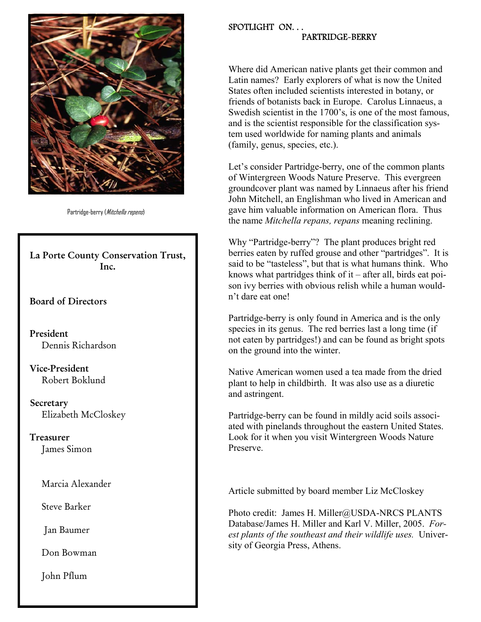

Partridge-berry (Mitchella repens)

**La Porte County Conservation Trust, Inc.** 

**Board of Directors** 

 **President**  Dennis Richardson

 **Vice-President** Robert Boklund

 **Secretary**  Elizabeth McCloskey

 **Treasurer**  James Simon

Marcia Alexander

Steve Barker

Jan Baumer

Don Bowman

John Pflum

## SPOTLIGHT ON. . . PARTRIDGE-BERRY

Where did American native plants get their common and Latin names? Early explorers of what is now the United States often included scientists interested in botany, or friends of botanists back in Europe. Carolus Linnaeus, a Swedish scientist in the 1700's, is one of the most famous, and is the scientist responsible for the classification system used worldwide for naming plants and animals (family, genus, species, etc.).

Let's consider Partridge-berry, one of the common plants of Wintergreen Woods Nature Preserve. This evergreen groundcover plant was named by Linnaeus after his friend John Mitchell, an Englishman who lived in American and gave him valuable information on American flora. Thus the name *Mitchella repans, repans* meaning reclining.

Why "Partridge-berry"? The plant produces bright red berries eaten by ruffed grouse and other "partridges". It is said to be "tasteless", but that is what humans think. Who knows what partridges think of it – after all, birds eat poison ivy berries with obvious relish while a human wouldn't dare eat one!

Partridge-berry is only found in America and is the only species in its genus. The red berries last a long time (if not eaten by partridges!) and can be found as bright spots on the ground into the winter.

Native American women used a tea made from the dried plant to help in childbirth. It was also use as a diuretic and astringent.

Partridge-berry can be found in mildly acid soils associated with pinelands throughout the eastern United States. Look for it when you visit Wintergreen Woods Nature Preserve.

Article submitted by board member Liz McCloskey

Photo credit: James H. Miller@USDA-NRCS PLANTS Database/James H. Miller and Karl V. Miller, 2005. *Forest plants of the southeast and their wildlife uses.* University of Georgia Press, Athens.